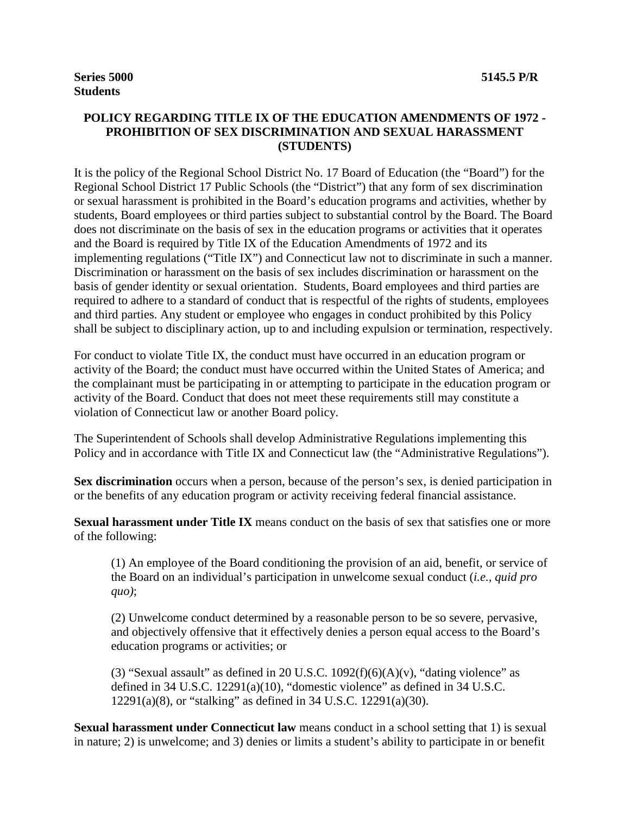#### **POLICY REGARDING TITLE IX OF THE EDUCATION AMENDMENTS OF 1972 - PROHIBITION OF SEX DISCRIMINATION AND SEXUAL HARASSMENT (STUDENTS)**

It is the policy of the Regional School District No. 17 Board of Education (the "Board") for the Regional School District 17 Public Schools (the "District") that any form of sex discrimination or sexual harassment is prohibited in the Board's education programs and activities, whether by students, Board employees or third parties subject to substantial control by the Board. The Board does not discriminate on the basis of sex in the education programs or activities that it operates and the Board is required by Title IX of the Education Amendments of 1972 and its implementing regulations ("Title IX") and Connecticut law not to discriminate in such a manner. Discrimination or harassment on the basis of sex includes discrimination or harassment on the basis of gender identity or sexual orientation. Students, Board employees and third parties are required to adhere to a standard of conduct that is respectful of the rights of students, employees and third parties. Any student or employee who engages in conduct prohibited by this Policy shall be subject to disciplinary action, up to and including expulsion or termination, respectively.

For conduct to violate Title IX, the conduct must have occurred in an education program or activity of the Board; the conduct must have occurred within the United States of America; and the complainant must be participating in or attempting to participate in the education program or activity of the Board. Conduct that does not meet these requirements still may constitute a violation of Connecticut law or another Board policy.

The Superintendent of Schools shall develop Administrative Regulations implementing this Policy and in accordance with Title IX and Connecticut law (the "Administrative Regulations").

**Sex discrimination** occurs when a person, because of the person's sex, is denied participation in or the benefits of any education program or activity receiving federal financial assistance.

**Sexual harassment under Title IX** means conduct on the basis of sex that satisfies one or more of the following:

(1) An employee of the Board conditioning the provision of an aid, benefit, or service of the Board on an individual's participation in unwelcome sexual conduct (*i.e.*, *quid pro quo)*;

(2) Unwelcome conduct determined by a reasonable person to be so severe, pervasive, and objectively offensive that it effectively denies a person equal access to the Board's education programs or activities; or

(3) "Sexual assault" as defined in 20 U.S.C.  $1092(f)(6)(A)(v)$ , "dating violence" as defined in 34 U.S.C. 12291(a)(10), "domestic violence" as defined in 34 U.S.C. 12291(a)(8), or "stalking" as defined in 34 U.S.C. 12291(a)(30).

**Sexual harassment under Connecticut law** means conduct in a school setting that 1) is sexual in nature; 2) is unwelcome; and 3) denies or limits a student's ability to participate in or benefit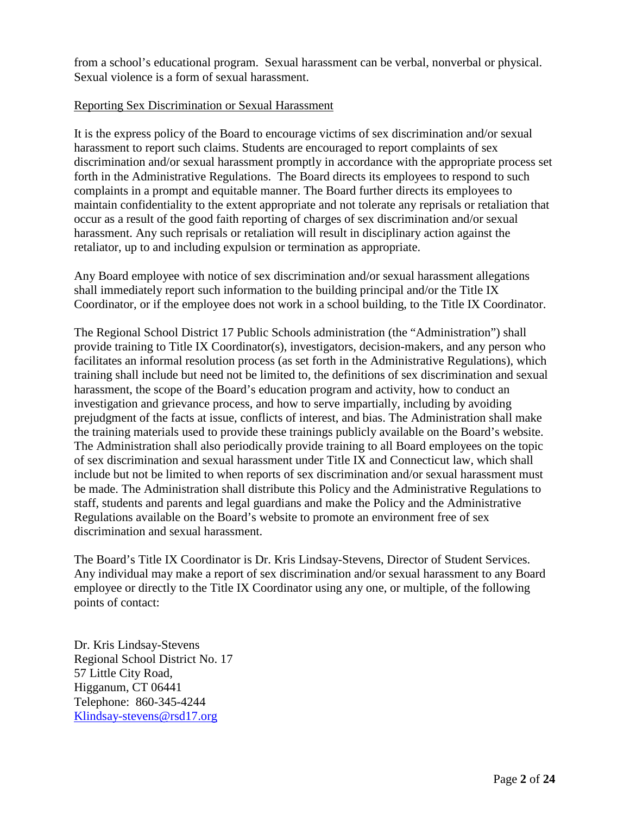from a school's educational program. Sexual harassment can be verbal, nonverbal or physical. Sexual violence is a form of sexual harassment.

#### Reporting Sex Discrimination or Sexual Harassment

It is the express policy of the Board to encourage victims of sex discrimination and/or sexual harassment to report such claims. Students are encouraged to report complaints of sex discrimination and/or sexual harassment promptly in accordance with the appropriate process set forth in the Administrative Regulations. The Board directs its employees to respond to such complaints in a prompt and equitable manner. The Board further directs its employees to maintain confidentiality to the extent appropriate and not tolerate any reprisals or retaliation that occur as a result of the good faith reporting of charges of sex discrimination and/or sexual harassment. Any such reprisals or retaliation will result in disciplinary action against the retaliator, up to and including expulsion or termination as appropriate.

Any Board employee with notice of sex discrimination and/or sexual harassment allegations shall immediately report such information to the building principal and/or the Title IX Coordinator, or if the employee does not work in a school building, to the Title IX Coordinator.

The Regional School District 17 Public Schools administration (the "Administration") shall provide training to Title IX Coordinator(s), investigators, decision-makers, and any person who facilitates an informal resolution process (as set forth in the Administrative Regulations), which training shall include but need not be limited to, the definitions of sex discrimination and sexual harassment, the scope of the Board's education program and activity, how to conduct an investigation and grievance process, and how to serve impartially, including by avoiding prejudgment of the facts at issue, conflicts of interest, and bias. The Administration shall make the training materials used to provide these trainings publicly available on the Board's website. The Administration shall also periodically provide training to all Board employees on the topic of sex discrimination and sexual harassment under Title IX and Connecticut law, which shall include but not be limited to when reports of sex discrimination and/or sexual harassment must be made. The Administration shall distribute this Policy and the Administrative Regulations to staff, students and parents and legal guardians and make the Policy and the Administrative Regulations available on the Board's website to promote an environment free of sex discrimination and sexual harassment.

The Board's Title IX Coordinator is Dr. Kris Lindsay-Stevens, Director of Student Services. Any individual may make a report of sex discrimination and/or sexual harassment to any Board employee or directly to the Title IX Coordinator using any one, or multiple, of the following points of contact:

Dr. Kris Lindsay-Stevens Regional School District No. 17 57 Little City Road, Higganum, CT 06441 Telephone: 860-345-4244 [Klindsay-stevens@rsd17.org](mailto:Klindsay-stevens@rsd17.org)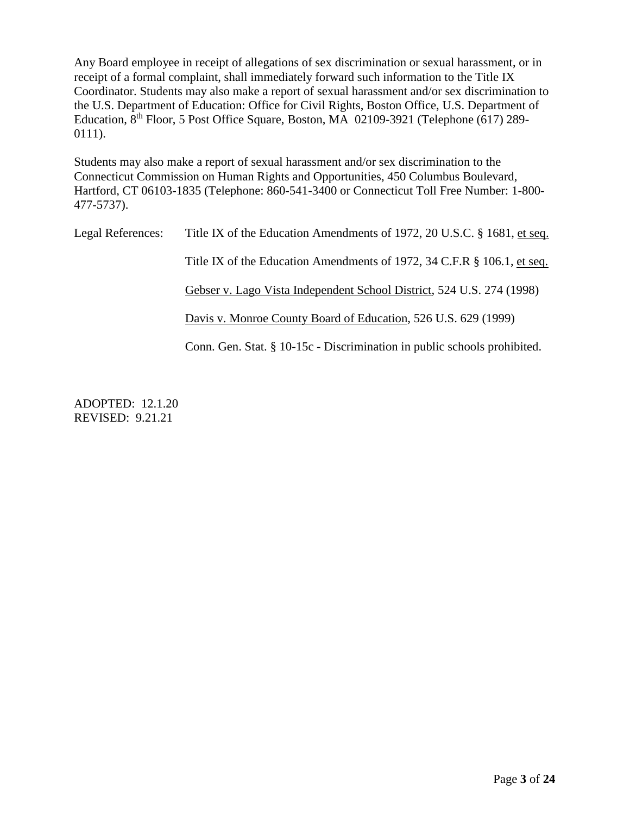Any Board employee in receipt of allegations of sex discrimination or sexual harassment, or in receipt of a formal complaint, shall immediately forward such information to the Title IX Coordinator. Students may also make a report of sexual harassment and/or sex discrimination to the U.S. Department of Education: Office for Civil Rights, Boston Office, U.S. Department of Education, 8th Floor, 5 Post Office Square, Boston, MA 02109-3921 (Telephone (617) 289- 0111).

Students may also make a report of sexual harassment and/or sex discrimination to the Connecticut Commission on Human Rights and Opportunities, 450 Columbus Boulevard, Hartford, CT 06103-1835 (Telephone: 860-541-3400 or Connecticut Toll Free Number: 1-800- 477-5737).

| Legal References: | Title IX of the Education Amendments of 1972, 20 U.S.C. § 1681, et seq.  |
|-------------------|--------------------------------------------------------------------------|
|                   | Title IX of the Education Amendments of 1972, 34 C.F.R § 106.1, et seq.  |
|                   | Gebser v. Lago Vista Independent School District, 524 U.S. 274 (1998)    |
|                   | Davis v. Monroe County Board of Education, 526 U.S. 629 (1999)           |
|                   | Conn. Gen. Stat. § 10-15c - Discrimination in public schools prohibited. |

ADOPTED: 12.1.20 REVISED: 9.21.21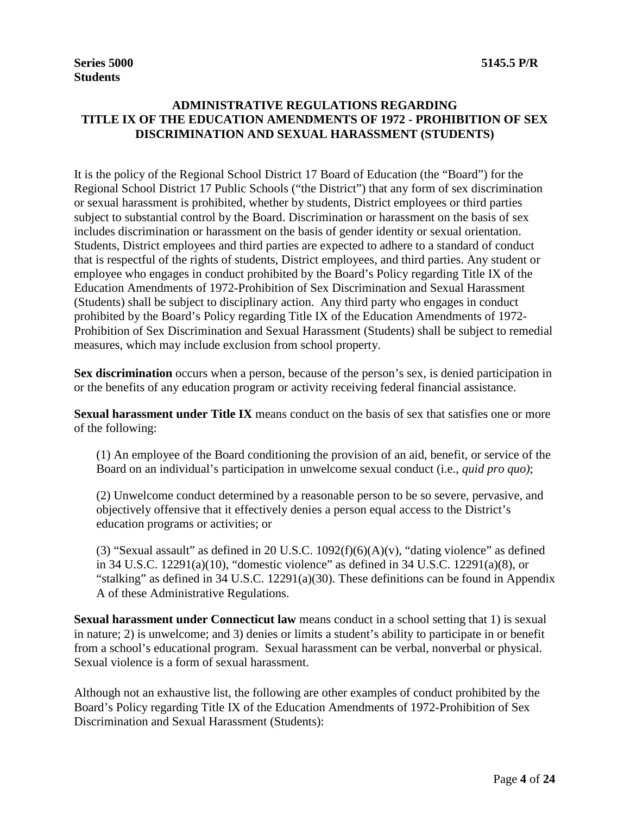# **ADMINISTRATIVE REGULATIONS REGARDING TITLE IX OF THE EDUCATION AMENDMENTS OF 1972 - PROHIBITION OF SEX DISCRIMINATION AND SEXUAL HARASSMENT (STUDENTS)**

It is the policy of the Regional School District 17 Board of Education (the "Board") for the Regional School District 17 Public Schools ("the District") that any form of sex discrimination or sexual harassment is prohibited, whether by students, District employees or third parties subject to substantial control by the Board. Discrimination or harassment on the basis of sex includes discrimination or harassment on the basis of gender identity or sexual orientation. Students, District employees and third parties are expected to adhere to a standard of conduct that is respectful of the rights of students, District employees, and third parties. Any student or employee who engages in conduct prohibited by the Board's Policy regarding Title IX of the Education Amendments of 1972-Prohibition of Sex Discrimination and Sexual Harassment (Students) shall be subject to disciplinary action. Any third party who engages in conduct prohibited by the Board's Policy regarding Title IX of the Education Amendments of 1972- Prohibition of Sex Discrimination and Sexual Harassment (Students) shall be subject to remedial measures, which may include exclusion from school property.

**Sex discrimination** occurs when a person, because of the person's sex, is denied participation in or the benefits of any education program or activity receiving federal financial assistance.

**Sexual harassment under Title IX** means conduct on the basis of sex that satisfies one or more of the following:

(1) An employee of the Board conditioning the provision of an aid, benefit, or service of the Board on an individual's participation in unwelcome sexual conduct (i.e., *quid pro quo)*;

(2) Unwelcome conduct determined by a reasonable person to be so severe, pervasive, and objectively offensive that it effectively denies a person equal access to the District's education programs or activities; or

(3) "Sexual assault" as defined in 20 U.S.C.  $1092(f)(6)(A)(v)$ , "dating violence" as defined in 34 U.S.C. 12291(a)(10), "domestic violence" as defined in 34 U.S.C. 12291(a)(8), or "stalking" as defined in 34 U.S.C. 12291(a)(30). These definitions can be found in Appendix A of these Administrative Regulations.

**Sexual harassment under Connecticut law** means conduct in a school setting that 1) is sexual in nature; 2) is unwelcome; and 3) denies or limits a student's ability to participate in or benefit from a school's educational program. Sexual harassment can be verbal, nonverbal or physical. Sexual violence is a form of sexual harassment.

Although not an exhaustive list, the following are other examples of conduct prohibited by the Board's Policy regarding Title IX of the Education Amendments of 1972-Prohibition of Sex Discrimination and Sexual Harassment (Students):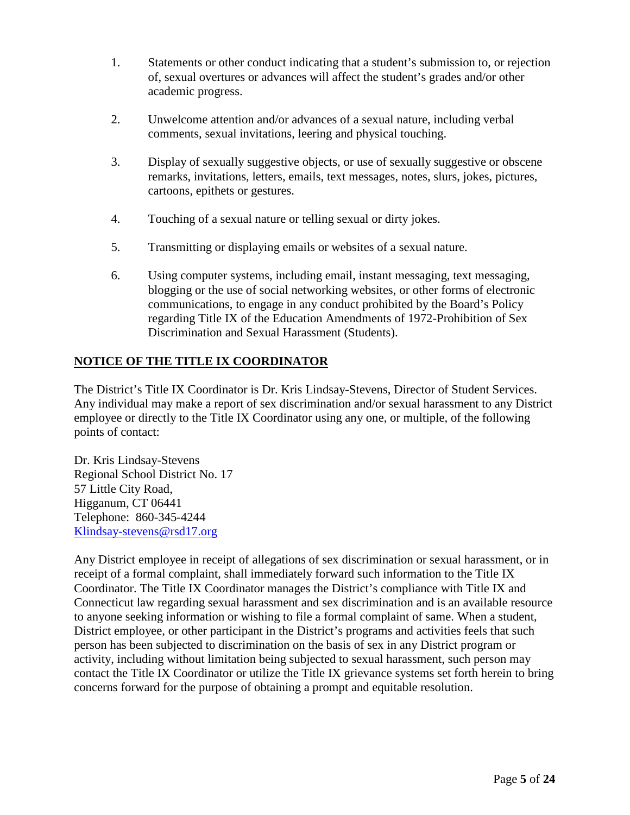- 1. Statements or other conduct indicating that a student's submission to, or rejection of, sexual overtures or advances will affect the student's grades and/or other academic progress.
- 2. Unwelcome attention and/or advances of a sexual nature, including verbal comments, sexual invitations, leering and physical touching.
- 3. Display of sexually suggestive objects, or use of sexually suggestive or obscene remarks, invitations, letters, emails, text messages, notes, slurs, jokes, pictures, cartoons, epithets or gestures.
- 4. Touching of a sexual nature or telling sexual or dirty jokes.
- 5. Transmitting or displaying emails or websites of a sexual nature.
- 6. Using computer systems, including email, instant messaging, text messaging, blogging or the use of social networking websites, or other forms of electronic communications, to engage in any conduct prohibited by the Board's Policy regarding Title IX of the Education Amendments of 1972-Prohibition of Sex Discrimination and Sexual Harassment (Students).

# **NOTICE OF THE TITLE IX COORDINATOR**

The District's Title IX Coordinator is Dr. Kris Lindsay-Stevens, Director of Student Services. Any individual may make a report of sex discrimination and/or sexual harassment to any District employee or directly to the Title IX Coordinator using any one, or multiple, of the following points of contact:

Dr. Kris Lindsay-Stevens Regional School District No. 17 57 Little City Road, Higganum, CT 06441 Telephone: 860-345-4244 [Klindsay-stevens@rsd17.org](mailto:Klindsay-stevens@rsd17.org) 

Any District employee in receipt of allegations of sex discrimination or sexual harassment, or in receipt of a formal complaint, shall immediately forward such information to the Title IX Coordinator. The Title IX Coordinator manages the District's compliance with Title IX and Connecticut law regarding sexual harassment and sex discrimination and is an available resource to anyone seeking information or wishing to file a formal complaint of same. When a student, District employee, or other participant in the District's programs and activities feels that such person has been subjected to discrimination on the basis of sex in any District program or activity, including without limitation being subjected to sexual harassment, such person may contact the Title IX Coordinator or utilize the Title IX grievance systems set forth herein to bring concerns forward for the purpose of obtaining a prompt and equitable resolution.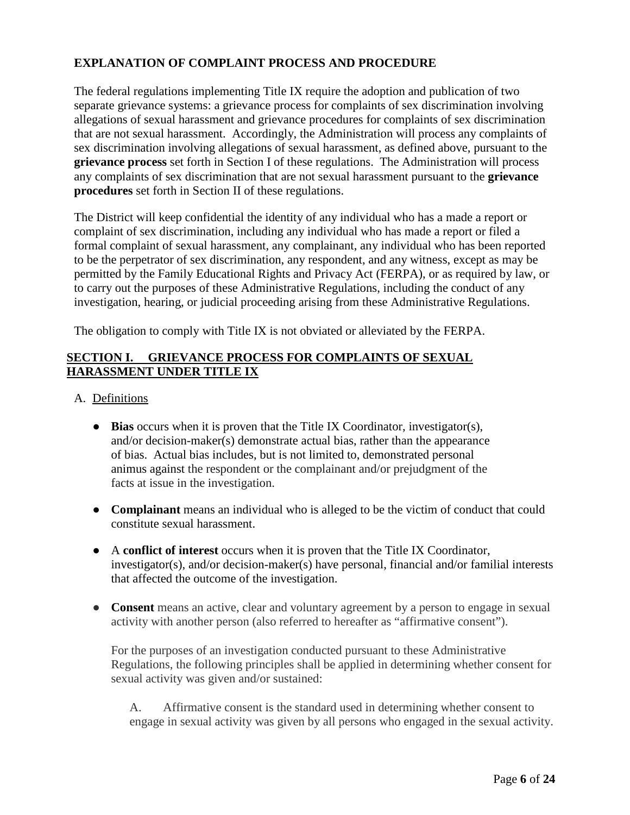# **EXPLANATION OF COMPLAINT PROCESS AND PROCEDURE**

The federal regulations implementing Title IX require the adoption and publication of two separate grievance systems: a grievance process for complaints of sex discrimination involving allegations of sexual harassment and grievance procedures for complaints of sex discrimination that are not sexual harassment. Accordingly, the Administration will process any complaints of sex discrimination involving allegations of sexual harassment, as defined above, pursuant to the **grievance process** set forth in Section I of these regulations. The Administration will process any complaints of sex discrimination that are not sexual harassment pursuant to the **grievance procedures** set forth in Section II of these regulations.

The District will keep confidential the identity of any individual who has a made a report or complaint of sex discrimination, including any individual who has made a report or filed a formal complaint of sexual harassment, any complainant, any individual who has been reported to be the perpetrator of sex discrimination, any respondent, and any witness, except as may be permitted by the Family Educational Rights and Privacy Act (FERPA), or as required by law, or to carry out the purposes of these Administrative Regulations, including the conduct of any investigation, hearing, or judicial proceeding arising from these Administrative Regulations.

The obligation to comply with Title IX is not obviated or alleviated by the FERPA.

### **SECTION I. GRIEVANCE PROCESS FOR COMPLAINTS OF SEXUAL HARASSMENT UNDER TITLE IX**

- A. Definitions
	- **Bias** occurs when it is proven that the Title IX Coordinator, investigator(s), and/or decision-maker(s) demonstrate actual bias, rather than the appearance of bias. Actual bias includes, but is not limited to, demonstrated personal animus against the respondent or the complainant and/or prejudgment of the facts at issue in the investigation.
	- **Complainant** means an individual who is alleged to be the victim of conduct that could constitute sexual harassment.
	- A **conflict of interest** occurs when it is proven that the Title IX Coordinator, investigator(s), and/or decision-maker(s) have personal, financial and/or familial interests that affected the outcome of the investigation.
	- **Consent** means an active, clear and voluntary agreement by a person to engage in sexual activity with another person (also referred to hereafter as "affirmative consent").

For the purposes of an investigation conducted pursuant to these Administrative Regulations, the following principles shall be applied in determining whether consent for sexual activity was given and/or sustained:

A. Affirmative consent is the standard used in determining whether consent to engage in sexual activity was given by all persons who engaged in the sexual activity.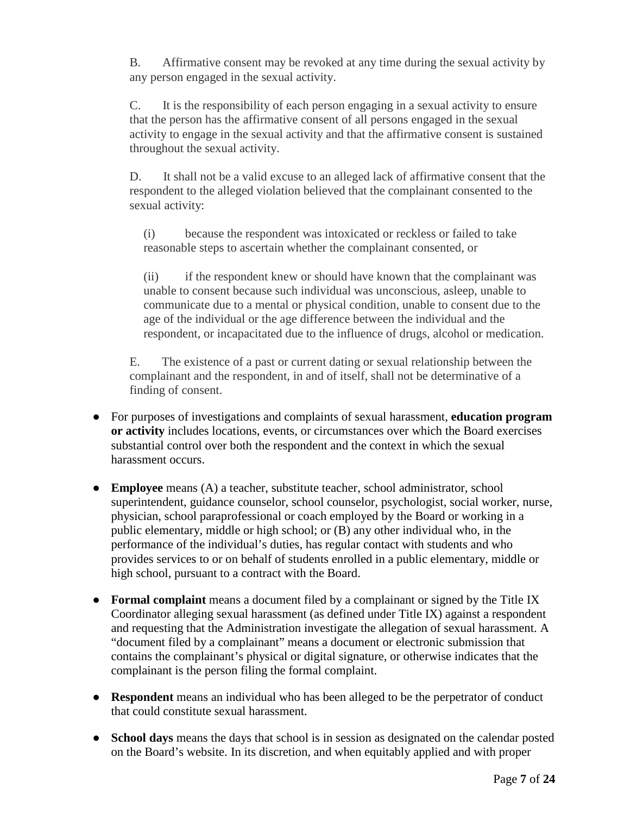B. Affirmative consent may be revoked at any time during the sexual activity by any person engaged in the sexual activity.

C. It is the responsibility of each person engaging in a sexual activity to ensure that the person has the affirmative consent of all persons engaged in the sexual activity to engage in the sexual activity and that the affirmative consent is sustained throughout the sexual activity.

D. It shall not be a valid excuse to an alleged lack of affirmative consent that the respondent to the alleged violation believed that the complainant consented to the sexual activity:

(i) because the respondent was intoxicated or reckless or failed to take reasonable steps to ascertain whether the complainant consented, or

(ii) if the respondent knew or should have known that the complainant was unable to consent because such individual was unconscious, asleep, unable to communicate due to a mental or physical condition, unable to consent due to the age of the individual or the age difference between the individual and the respondent, or incapacitated due to the influence of drugs, alcohol or medication.

E. The existence of a past or current dating or sexual relationship between the complainant and the respondent, in and of itself, shall not be determinative of a finding of consent.

- For purposes of investigations and complaints of sexual harassment, **education program or activity** includes locations, events, or circumstances over which the Board exercises substantial control over both the respondent and the context in which the sexual harassment occurs.
- **Employee** means (A) a teacher, substitute teacher, school administrator, school superintendent, guidance counselor, school counselor, psychologist, social worker, nurse, physician, school paraprofessional or coach employed by the Board or working in a public elementary, middle or high school; or (B) any other individual who, in the performance of the individual's duties, has regular contact with students and who provides services to or on behalf of students enrolled in a public elementary, middle or high school, pursuant to a contract with the Board.
- **Formal complaint** means a document filed by a complainant or signed by the Title IX Coordinator alleging sexual harassment (as defined under Title IX) against a respondent and requesting that the Administration investigate the allegation of sexual harassment. A "document filed by a complainant" means a document or electronic submission that contains the complainant's physical or digital signature, or otherwise indicates that the complainant is the person filing the formal complaint.
- **Respondent** means an individual who has been alleged to be the perpetrator of conduct that could constitute sexual harassment.
- **School days** means the days that school is in session as designated on the calendar posted on the Board's website. In its discretion, and when equitably applied and with proper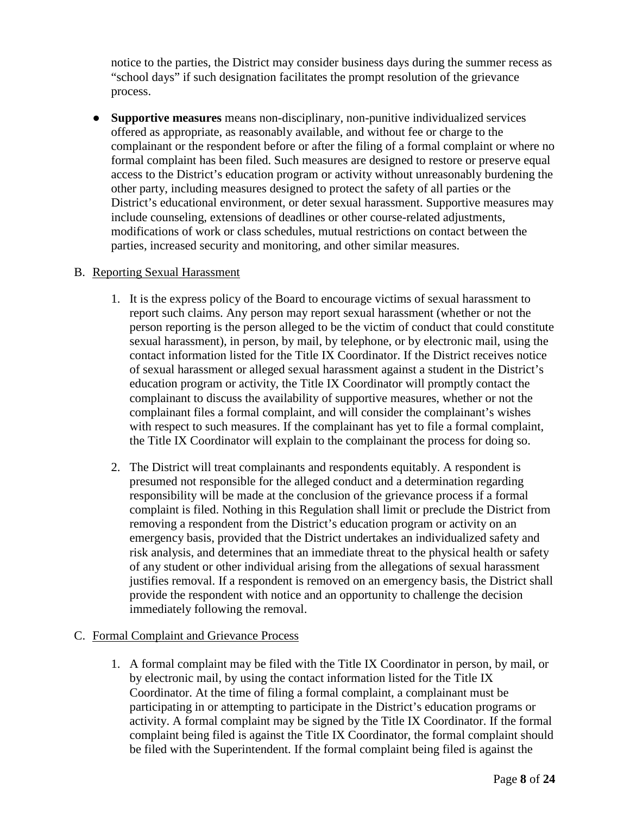notice to the parties, the District may consider business days during the summer recess as "school days" if such designation facilitates the prompt resolution of the grievance process.

● **Supportive measures** means non-disciplinary, non-punitive individualized services offered as appropriate, as reasonably available, and without fee or charge to the complainant or the respondent before or after the filing of a formal complaint or where no formal complaint has been filed. Such measures are designed to restore or preserve equal access to the District's education program or activity without unreasonably burdening the other party, including measures designed to protect the safety of all parties or the District's educational environment, or deter sexual harassment. Supportive measures may include counseling, extensions of deadlines or other course-related adjustments, modifications of work or class schedules, mutual restrictions on contact between the parties, increased security and monitoring, and other similar measures.

#### B. Reporting Sexual Harassment

- 1. It is the express policy of the Board to encourage victims of sexual harassment to report such claims. Any person may report sexual harassment (whether or not the person reporting is the person alleged to be the victim of conduct that could constitute sexual harassment), in person, by mail, by telephone, or by electronic mail, using the contact information listed for the Title IX Coordinator. If the District receives notice of sexual harassment or alleged sexual harassment against a student in the District's education program or activity, the Title IX Coordinator will promptly contact the complainant to discuss the availability of supportive measures, whether or not the complainant files a formal complaint, and will consider the complainant's wishes with respect to such measures. If the complainant has yet to file a formal complaint, the Title IX Coordinator will explain to the complainant the process for doing so.
- 2. The District will treat complainants and respondents equitably. A respondent is presumed not responsible for the alleged conduct and a determination regarding responsibility will be made at the conclusion of the grievance process if a formal complaint is filed. Nothing in this Regulation shall limit or preclude the District from removing a respondent from the District's education program or activity on an emergency basis, provided that the District undertakes an individualized safety and risk analysis, and determines that an immediate threat to the physical health or safety of any student or other individual arising from the allegations of sexual harassment justifies removal. If a respondent is removed on an emergency basis, the District shall provide the respondent with notice and an opportunity to challenge the decision immediately following the removal.

#### C. Formal Complaint and Grievance Process

1. A formal complaint may be filed with the Title IX Coordinator in person, by mail, or by electronic mail, by using the contact information listed for the Title IX Coordinator. At the time of filing a formal complaint, a complainant must be participating in or attempting to participate in the District's education programs or activity. A formal complaint may be signed by the Title IX Coordinator. If the formal complaint being filed is against the Title IX Coordinator, the formal complaint should be filed with the Superintendent. If the formal complaint being filed is against the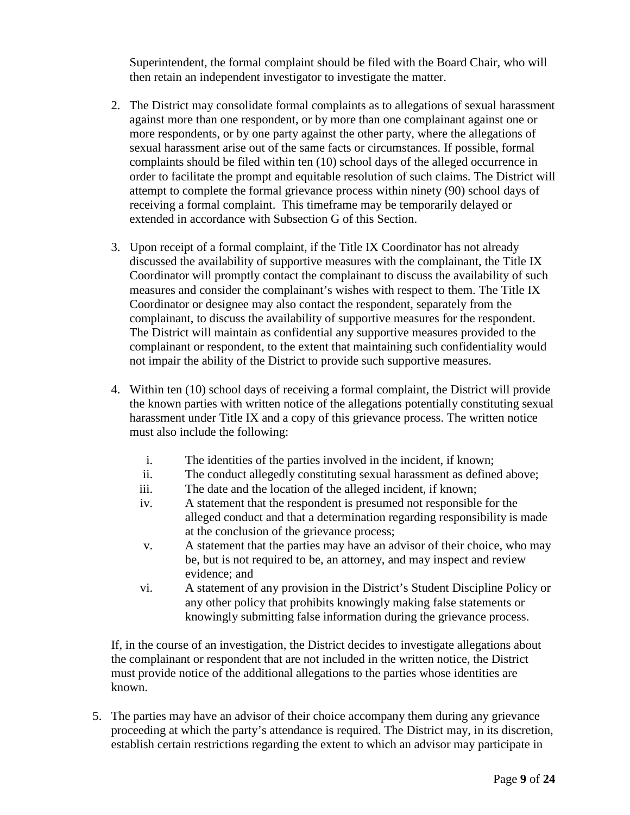Superintendent, the formal complaint should be filed with the Board Chair, who will then retain an independent investigator to investigate the matter.

- 2. The District may consolidate formal complaints as to allegations of sexual harassment against more than one respondent, or by more than one complainant against one or more respondents, or by one party against the other party, where the allegations of sexual harassment arise out of the same facts or circumstances. If possible, formal complaints should be filed within ten (10) school days of the alleged occurrence in order to facilitate the prompt and equitable resolution of such claims. The District will attempt to complete the formal grievance process within ninety (90) school days of receiving a formal complaint. This timeframe may be temporarily delayed or extended in accordance with Subsection G of this Section.
- 3. Upon receipt of a formal complaint, if the Title IX Coordinator has not already discussed the availability of supportive measures with the complainant, the Title IX Coordinator will promptly contact the complainant to discuss the availability of such measures and consider the complainant's wishes with respect to them. The Title IX Coordinator or designee may also contact the respondent, separately from the complainant, to discuss the availability of supportive measures for the respondent. The District will maintain as confidential any supportive measures provided to the complainant or respondent, to the extent that maintaining such confidentiality would not impair the ability of the District to provide such supportive measures.
- 4. Within ten (10) school days of receiving a formal complaint, the District will provide the known parties with written notice of the allegations potentially constituting sexual harassment under Title IX and a copy of this grievance process. The written notice must also include the following:
	- i. The identities of the parties involved in the incident, if known;
	- ii. The conduct allegedly constituting sexual harassment as defined above;
	- iii. The date and the location of the alleged incident, if known;
	- iv. A statement that the respondent is presumed not responsible for the alleged conduct and that a determination regarding responsibility is made at the conclusion of the grievance process;
	- v. A statement that the parties may have an advisor of their choice, who may be, but is not required to be, an attorney, and may inspect and review evidence; and
	- vi. A statement of any provision in the District's Student Discipline Policy or any other policy that prohibits knowingly making false statements or knowingly submitting false information during the grievance process.

If, in the course of an investigation, the District decides to investigate allegations about the complainant or respondent that are not included in the written notice, the District must provide notice of the additional allegations to the parties whose identities are known.

5. The parties may have an advisor of their choice accompany them during any grievance proceeding at which the party's attendance is required. The District may, in its discretion, establish certain restrictions regarding the extent to which an advisor may participate in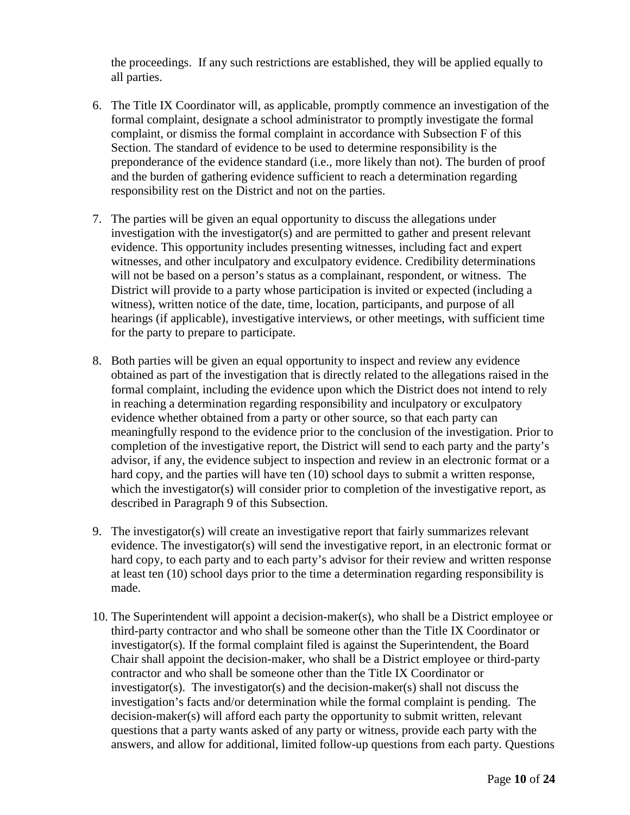the proceedings. If any such restrictions are established, they will be applied equally to all parties.

- 6. The Title IX Coordinator will, as applicable, promptly commence an investigation of the formal complaint, designate a school administrator to promptly investigate the formal complaint, or dismiss the formal complaint in accordance with Subsection F of this Section. The standard of evidence to be used to determine responsibility is the preponderance of the evidence standard (i.e., more likely than not). The burden of proof and the burden of gathering evidence sufficient to reach a determination regarding responsibility rest on the District and not on the parties.
- 7. The parties will be given an equal opportunity to discuss the allegations under investigation with the investigator(s) and are permitted to gather and present relevant evidence. This opportunity includes presenting witnesses, including fact and expert witnesses, and other inculpatory and exculpatory evidence. Credibility determinations will not be based on a person's status as a complainant, respondent, or witness. The District will provide to a party whose participation is invited or expected (including a witness), written notice of the date, time, location, participants, and purpose of all hearings (if applicable), investigative interviews, or other meetings, with sufficient time for the party to prepare to participate.
- 8. Both parties will be given an equal opportunity to inspect and review any evidence obtained as part of the investigation that is directly related to the allegations raised in the formal complaint, including the evidence upon which the District does not intend to rely in reaching a determination regarding responsibility and inculpatory or exculpatory evidence whether obtained from a party or other source, so that each party can meaningfully respond to the evidence prior to the conclusion of the investigation. Prior to completion of the investigative report, the District will send to each party and the party's advisor, if any, the evidence subject to inspection and review in an electronic format or a hard copy, and the parties will have ten (10) school days to submit a written response, which the investigator(s) will consider prior to completion of the investigative report, as described in Paragraph 9 of this Subsection.
- 9. The investigator(s) will create an investigative report that fairly summarizes relevant evidence. The investigator(s) will send the investigative report, in an electronic format or hard copy, to each party and to each party's advisor for their review and written response at least ten (10) school days prior to the time a determination regarding responsibility is made.
- 10. The Superintendent will appoint a decision-maker(s), who shall be a District employee or third-party contractor and who shall be someone other than the Title IX Coordinator or investigator(s). If the formal complaint filed is against the Superintendent, the Board Chair shall appoint the decision-maker, who shall be a District employee or third-party contractor and who shall be someone other than the Title IX Coordinator or investigator(s). The investigator(s) and the decision-maker(s) shall not discuss the investigation's facts and/or determination while the formal complaint is pending. The decision-maker(s) will afford each party the opportunity to submit written, relevant questions that a party wants asked of any party or witness, provide each party with the answers, and allow for additional, limited follow-up questions from each party. Questions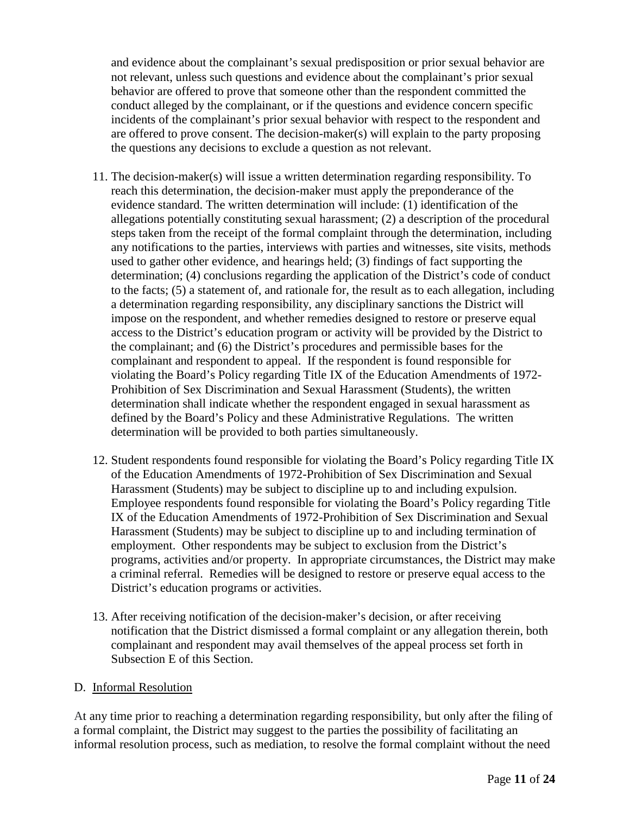and evidence about the complainant's sexual predisposition or prior sexual behavior are not relevant, unless such questions and evidence about the complainant's prior sexual behavior are offered to prove that someone other than the respondent committed the conduct alleged by the complainant, or if the questions and evidence concern specific incidents of the complainant's prior sexual behavior with respect to the respondent and are offered to prove consent. The decision-maker(s) will explain to the party proposing the questions any decisions to exclude a question as not relevant.

- 11. The decision-maker(s) will issue a written determination regarding responsibility. To reach this determination, the decision-maker must apply the preponderance of the evidence standard. The written determination will include: (1) identification of the allegations potentially constituting sexual harassment; (2) a description of the procedural steps taken from the receipt of the formal complaint through the determination, including any notifications to the parties, interviews with parties and witnesses, site visits, methods used to gather other evidence, and hearings held; (3) findings of fact supporting the determination; (4) conclusions regarding the application of the District's code of conduct to the facts; (5) a statement of, and rationale for, the result as to each allegation, including a determination regarding responsibility, any disciplinary sanctions the District will impose on the respondent, and whether remedies designed to restore or preserve equal access to the District's education program or activity will be provided by the District to the complainant; and (6) the District's procedures and permissible bases for the complainant and respondent to appeal. If the respondent is found responsible for violating the Board's Policy regarding Title IX of the Education Amendments of 1972- Prohibition of Sex Discrimination and Sexual Harassment (Students), the written determination shall indicate whether the respondent engaged in sexual harassment as defined by the Board's Policy and these Administrative Regulations. The written determination will be provided to both parties simultaneously.
- 12. Student respondents found responsible for violating the Board's Policy regarding Title IX of the Education Amendments of 1972-Prohibition of Sex Discrimination and Sexual Harassment (Students) may be subject to discipline up to and including expulsion. Employee respondents found responsible for violating the Board's Policy regarding Title IX of the Education Amendments of 1972-Prohibition of Sex Discrimination and Sexual Harassment (Students) may be subject to discipline up to and including termination of employment. Other respondents may be subject to exclusion from the District's programs, activities and/or property. In appropriate circumstances, the District may make a criminal referral. Remedies will be designed to restore or preserve equal access to the District's education programs or activities.
- 13. After receiving notification of the decision-maker's decision, or after receiving notification that the District dismissed a formal complaint or any allegation therein, both complainant and respondent may avail themselves of the appeal process set forth in Subsection E of this Section.

#### D. Informal Resolution

At any time prior to reaching a determination regarding responsibility, but only after the filing of a formal complaint, the District may suggest to the parties the possibility of facilitating an informal resolution process, such as mediation, to resolve the formal complaint without the need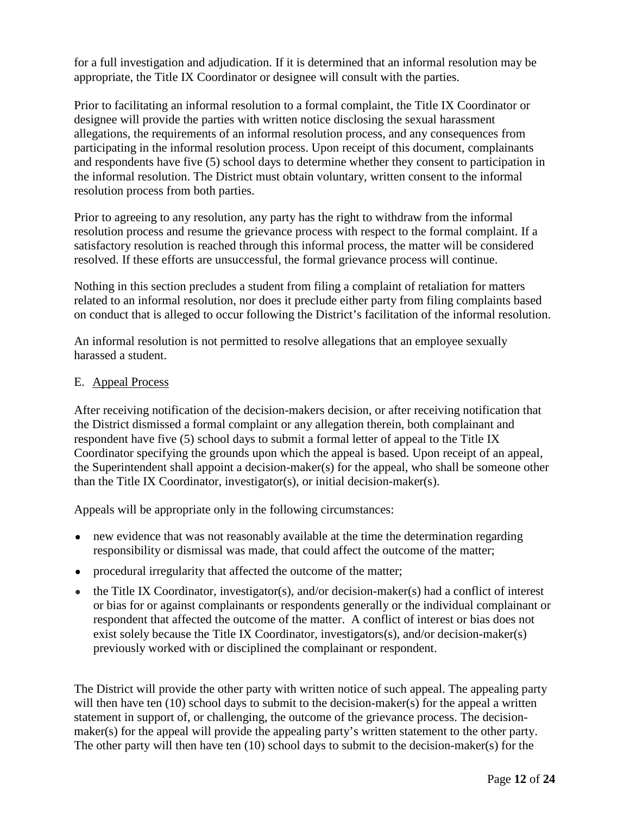for a full investigation and adjudication. If it is determined that an informal resolution may be appropriate, the Title IX Coordinator or designee will consult with the parties.

Prior to facilitating an informal resolution to a formal complaint, the Title IX Coordinator or designee will provide the parties with written notice disclosing the sexual harassment allegations, the requirements of an informal resolution process, and any consequences from participating in the informal resolution process. Upon receipt of this document, complainants and respondents have five (5) school days to determine whether they consent to participation in the informal resolution. The District must obtain voluntary, written consent to the informal resolution process from both parties.

Prior to agreeing to any resolution, any party has the right to withdraw from the informal resolution process and resume the grievance process with respect to the formal complaint. If a satisfactory resolution is reached through this informal process, the matter will be considered resolved. If these efforts are unsuccessful, the formal grievance process will continue.

Nothing in this section precludes a student from filing a complaint of retaliation for matters related to an informal resolution, nor does it preclude either party from filing complaints based on conduct that is alleged to occur following the District's facilitation of the informal resolution.

An informal resolution is not permitted to resolve allegations that an employee sexually harassed a student.

#### E. Appeal Process

After receiving notification of the decision-makers decision, or after receiving notification that the District dismissed a formal complaint or any allegation therein, both complainant and respondent have five (5) school days to submit a formal letter of appeal to the Title IX Coordinator specifying the grounds upon which the appeal is based. Upon receipt of an appeal, the Superintendent shall appoint a decision-maker(s) for the appeal, who shall be someone other than the Title IX Coordinator, investigator(s), or initial decision-maker(s).

Appeals will be appropriate only in the following circumstances:

- new evidence that was not reasonably available at the time the determination regarding responsibility or dismissal was made, that could affect the outcome of the matter;
- procedural irregularity that affected the outcome of the matter;
- $\bullet$  the Title IX Coordinator, investigator(s), and/or decision-maker(s) had a conflict of interest or bias for or against complainants or respondents generally or the individual complainant or respondent that affected the outcome of the matter. A conflict of interest or bias does not exist solely because the Title IX Coordinator, investigators(s), and/or decision-maker(s) previously worked with or disciplined the complainant or respondent.

The District will provide the other party with written notice of such appeal. The appealing party will then have ten (10) school days to submit to the decision-maker(s) for the appeal a written statement in support of, or challenging, the outcome of the grievance process. The decisionmaker(s) for the appeal will provide the appealing party's written statement to the other party. The other party will then have ten (10) school days to submit to the decision-maker(s) for the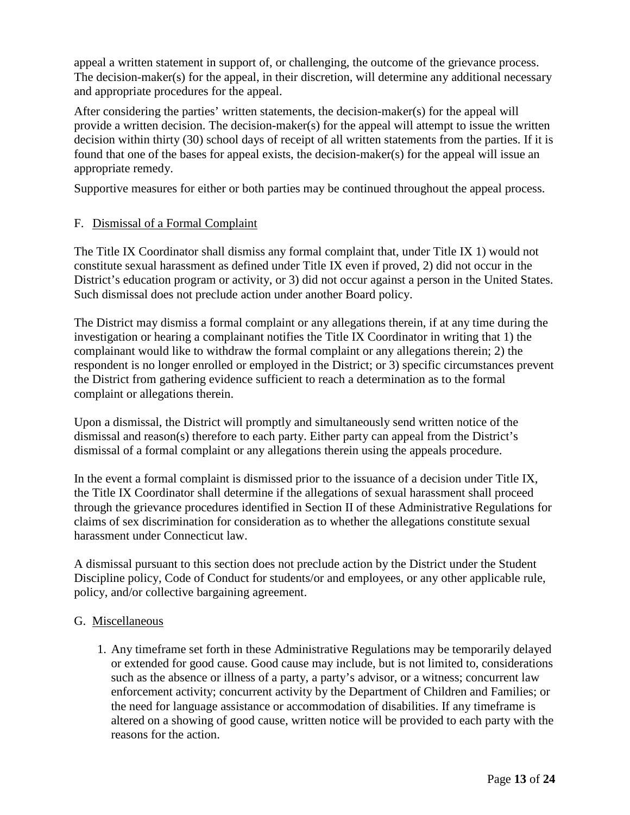appeal a written statement in support of, or challenging, the outcome of the grievance process. The decision-maker(s) for the appeal, in their discretion, will determine any additional necessary and appropriate procedures for the appeal.

After considering the parties' written statements, the decision-maker(s) for the appeal will provide a written decision. The decision-maker(s) for the appeal will attempt to issue the written decision within thirty (30) school days of receipt of all written statements from the parties. If it is found that one of the bases for appeal exists, the decision-maker(s) for the appeal will issue an appropriate remedy.

Supportive measures for either or both parties may be continued throughout the appeal process.

#### F. Dismissal of a Formal Complaint

The Title IX Coordinator shall dismiss any formal complaint that, under Title IX 1) would not constitute sexual harassment as defined under Title IX even if proved, 2) did not occur in the District's education program or activity, or 3) did not occur against a person in the United States. Such dismissal does not preclude action under another Board policy.

The District may dismiss a formal complaint or any allegations therein, if at any time during the investigation or hearing a complainant notifies the Title IX Coordinator in writing that 1) the complainant would like to withdraw the formal complaint or any allegations therein; 2) the respondent is no longer enrolled or employed in the District; or 3) specific circumstances prevent the District from gathering evidence sufficient to reach a determination as to the formal complaint or allegations therein.

Upon a dismissal, the District will promptly and simultaneously send written notice of the dismissal and reason(s) therefore to each party. Either party can appeal from the District's dismissal of a formal complaint or any allegations therein using the appeals procedure.

In the event a formal complaint is dismissed prior to the issuance of a decision under Title IX, the Title IX Coordinator shall determine if the allegations of sexual harassment shall proceed through the grievance procedures identified in Section II of these Administrative Regulations for claims of sex discrimination for consideration as to whether the allegations constitute sexual harassment under Connecticut law.

A dismissal pursuant to this section does not preclude action by the District under the Student Discipline policy, Code of Conduct for students/or and employees, or any other applicable rule, policy, and/or collective bargaining agreement.

#### G. Miscellaneous

1. Any timeframe set forth in these Administrative Regulations may be temporarily delayed or extended for good cause. Good cause may include, but is not limited to, considerations such as the absence or illness of a party, a party's advisor, or a witness; concurrent law enforcement activity; concurrent activity by the Department of Children and Families; or the need for language assistance or accommodation of disabilities. If any timeframe is altered on a showing of good cause, written notice will be provided to each party with the reasons for the action.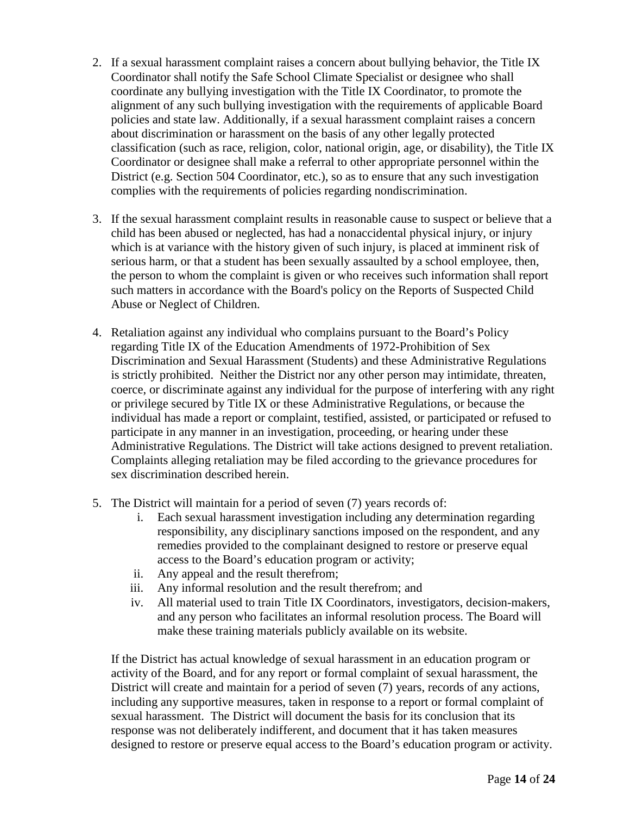- 2. If a sexual harassment complaint raises a concern about bullying behavior, the Title IX Coordinator shall notify the Safe School Climate Specialist or designee who shall coordinate any bullying investigation with the Title IX Coordinator, to promote the alignment of any such bullying investigation with the requirements of applicable Board policies and state law. Additionally, if a sexual harassment complaint raises a concern about discrimination or harassment on the basis of any other legally protected classification (such as race, religion, color, national origin, age, or disability), the Title IX Coordinator or designee shall make a referral to other appropriate personnel within the District (e.g. Section 504 Coordinator, etc.), so as to ensure that any such investigation complies with the requirements of policies regarding nondiscrimination.
- 3. If the sexual harassment complaint results in reasonable cause to suspect or believe that a child has been abused or neglected, has had a nonaccidental physical injury, or injury which is at variance with the history given of such injury, is placed at imminent risk of serious harm, or that a student has been sexually assaulted by a school employee, then, the person to whom the complaint is given or who receives such information shall report such matters in accordance with the Board's policy on the Reports of Suspected Child Abuse or Neglect of Children.
- 4. Retaliation against any individual who complains pursuant to the Board's Policy regarding Title IX of the Education Amendments of 1972-Prohibition of Sex Discrimination and Sexual Harassment (Students) and these Administrative Regulations is strictly prohibited. Neither the District nor any other person may intimidate, threaten, coerce, or discriminate against any individual for the purpose of interfering with any right or privilege secured by Title IX or these Administrative Regulations, or because the individual has made a report or complaint, testified, assisted, or participated or refused to participate in any manner in an investigation, proceeding, or hearing under these Administrative Regulations. The District will take actions designed to prevent retaliation. Complaints alleging retaliation may be filed according to the grievance procedures for sex discrimination described herein.
- 5. The District will maintain for a period of seven (7) years records of:
	- i. Each sexual harassment investigation including any determination regarding responsibility, any disciplinary sanctions imposed on the respondent, and any remedies provided to the complainant designed to restore or preserve equal access to the Board's education program or activity;
	- ii. Any appeal and the result therefrom;
	- iii. Any informal resolution and the result therefrom; and
	- iv. All material used to train Title IX Coordinators, investigators, decision-makers, and any person who facilitates an informal resolution process. The Board will make these training materials publicly available on its website.

If the District has actual knowledge of sexual harassment in an education program or activity of the Board, and for any report or formal complaint of sexual harassment, the District will create and maintain for a period of seven (7) years, records of any actions, including any supportive measures, taken in response to a report or formal complaint of sexual harassment. The District will document the basis for its conclusion that its response was not deliberately indifferent, and document that it has taken measures designed to restore or preserve equal access to the Board's education program or activity.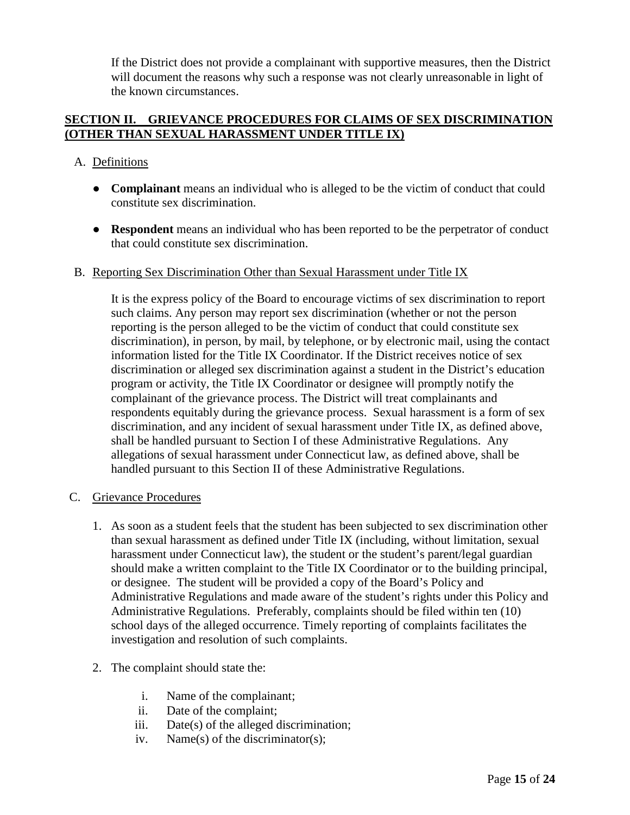If the District does not provide a complainant with supportive measures, then the District will document the reasons why such a response was not clearly unreasonable in light of the known circumstances.

### **SECTION II. GRIEVANCE PROCEDURES FOR CLAIMS OF SEX DISCRIMINATION (OTHER THAN SEXUAL HARASSMENT UNDER TITLE IX)**

# A. Definitions

- **Complainant** means an individual who is alleged to be the victim of conduct that could constitute sex discrimination.
- **Respondent** means an individual who has been reported to be the perpetrator of conduct that could constitute sex discrimination.

#### B. Reporting Sex Discrimination Other than Sexual Harassment under Title IX

It is the express policy of the Board to encourage victims of sex discrimination to report such claims. Any person may report sex discrimination (whether or not the person reporting is the person alleged to be the victim of conduct that could constitute sex discrimination), in person, by mail, by telephone, or by electronic mail, using the contact information listed for the Title IX Coordinator. If the District receives notice of sex discrimination or alleged sex discrimination against a student in the District's education program or activity, the Title IX Coordinator or designee will promptly notify the complainant of the grievance process. The District will treat complainants and respondents equitably during the grievance process. Sexual harassment is a form of sex discrimination, and any incident of sexual harassment under Title IX, as defined above, shall be handled pursuant to Section I of these Administrative Regulations. Any allegations of sexual harassment under Connecticut law, as defined above, shall be handled pursuant to this Section II of these Administrative Regulations.

# C. Grievance Procedures

- 1. As soon as a student feels that the student has been subjected to sex discrimination other than sexual harassment as defined under Title IX (including, without limitation, sexual harassment under Connecticut law), the student or the student's parent/legal guardian should make a written complaint to the Title IX Coordinator or to the building principal, or designee. The student will be provided a copy of the Board's Policy and Administrative Regulations and made aware of the student's rights under this Policy and Administrative Regulations. Preferably, complaints should be filed within ten (10) school days of the alleged occurrence. Timely reporting of complaints facilitates the investigation and resolution of such complaints.
- 2. The complaint should state the:
	- i. Name of the complainant;
	- ii. Date of the complaint;
	- iii. Date(s) of the alleged discrimination;
	- iv. Name(s) of the discriminator(s);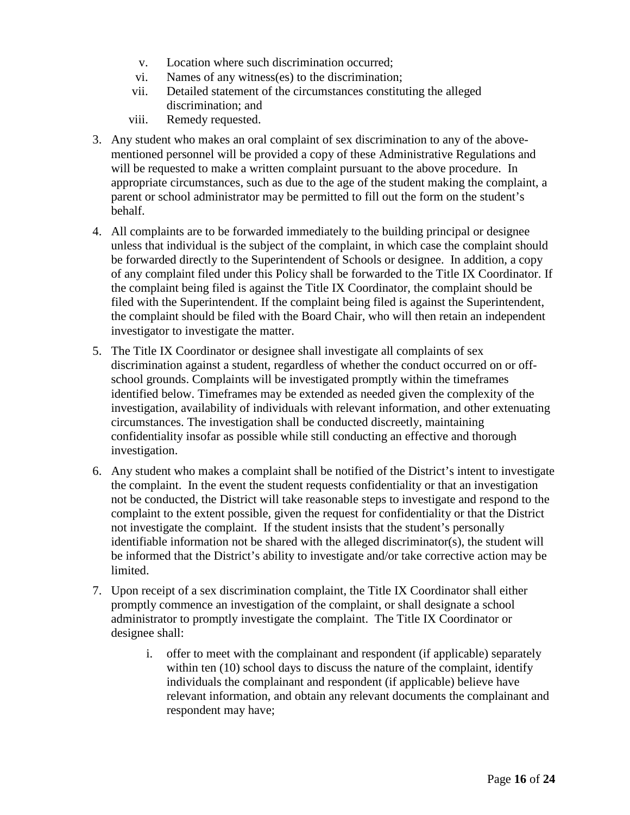- v. Location where such discrimination occurred;
- vi. Names of any witness(es) to the discrimination;
- vii. Detailed statement of the circumstances constituting the alleged discrimination; and
- viii. Remedy requested.
- 3. Any student who makes an oral complaint of sex discrimination to any of the abovementioned personnel will be provided a copy of these Administrative Regulations and will be requested to make a written complaint pursuant to the above procedure. In appropriate circumstances, such as due to the age of the student making the complaint, a parent or school administrator may be permitted to fill out the form on the student's behalf.
- 4. All complaints are to be forwarded immediately to the building principal or designee unless that individual is the subject of the complaint, in which case the complaint should be forwarded directly to the Superintendent of Schools or designee. In addition, a copy of any complaint filed under this Policy shall be forwarded to the Title IX Coordinator. If the complaint being filed is against the Title IX Coordinator, the complaint should be filed with the Superintendent. If the complaint being filed is against the Superintendent, the complaint should be filed with the Board Chair, who will then retain an independent investigator to investigate the matter.
- 5. The Title IX Coordinator or designee shall investigate all complaints of sex discrimination against a student, regardless of whether the conduct occurred on or offschool grounds. Complaints will be investigated promptly within the timeframes identified below. Timeframes may be extended as needed given the complexity of the investigation, availability of individuals with relevant information, and other extenuating circumstances. The investigation shall be conducted discreetly, maintaining confidentiality insofar as possible while still conducting an effective and thorough investigation.
- 6. Any student who makes a complaint shall be notified of the District's intent to investigate the complaint. In the event the student requests confidentiality or that an investigation not be conducted, the District will take reasonable steps to investigate and respond to the complaint to the extent possible, given the request for confidentiality or that the District not investigate the complaint. If the student insists that the student's personally identifiable information not be shared with the alleged discriminator(s), the student will be informed that the District's ability to investigate and/or take corrective action may be limited.
- 7. Upon receipt of a sex discrimination complaint, the Title IX Coordinator shall either promptly commence an investigation of the complaint, or shall designate a school administrator to promptly investigate the complaint. The Title IX Coordinator or designee shall:
	- i. offer to meet with the complainant and respondent (if applicable) separately within ten (10) school days to discuss the nature of the complaint, identify individuals the complainant and respondent (if applicable) believe have relevant information, and obtain any relevant documents the complainant and respondent may have;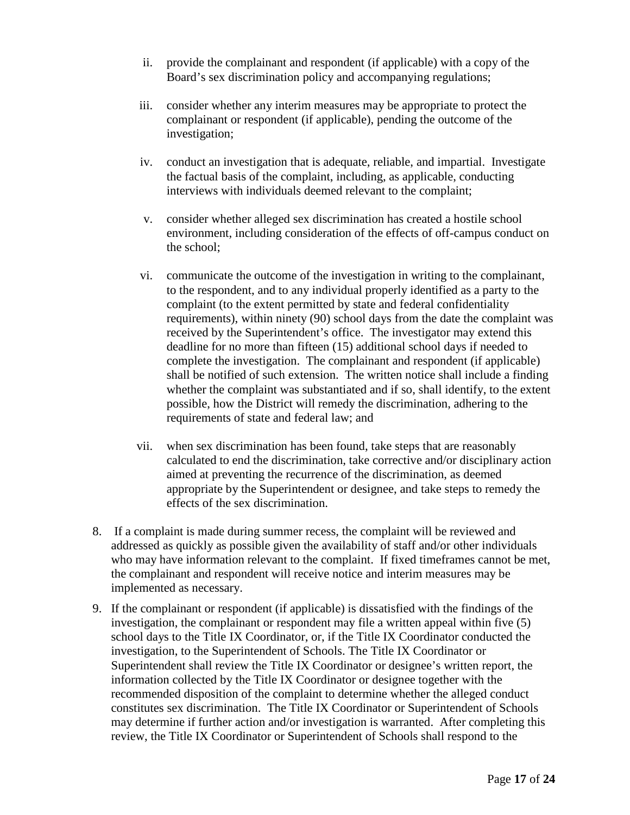- ii. provide the complainant and respondent (if applicable) with a copy of the Board's sex discrimination policy and accompanying regulations;
- iii. consider whether any interim measures may be appropriate to protect the complainant or respondent (if applicable), pending the outcome of the investigation;
- iv. conduct an investigation that is adequate, reliable, and impartial. Investigate the factual basis of the complaint, including, as applicable, conducting interviews with individuals deemed relevant to the complaint;
- v. consider whether alleged sex discrimination has created a hostile school environment, including consideration of the effects of off-campus conduct on the school;
- vi. communicate the outcome of the investigation in writing to the complainant, to the respondent, and to any individual properly identified as a party to the complaint (to the extent permitted by state and federal confidentiality requirements), within ninety (90) school days from the date the complaint was received by the Superintendent's office. The investigator may extend this deadline for no more than fifteen (15) additional school days if needed to complete the investigation. The complainant and respondent (if applicable) shall be notified of such extension. The written notice shall include a finding whether the complaint was substantiated and if so, shall identify, to the extent possible, how the District will remedy the discrimination, adhering to the requirements of state and federal law; and
- vii. when sex discrimination has been found, take steps that are reasonably calculated to end the discrimination, take corrective and/or disciplinary action aimed at preventing the recurrence of the discrimination, as deemed appropriate by the Superintendent or designee, and take steps to remedy the effects of the sex discrimination.
- 8. If a complaint is made during summer recess, the complaint will be reviewed and addressed as quickly as possible given the availability of staff and/or other individuals who may have information relevant to the complaint. If fixed timeframes cannot be met, the complainant and respondent will receive notice and interim measures may be implemented as necessary.
- 9. If the complainant or respondent (if applicable) is dissatisfied with the findings of the investigation, the complainant or respondent may file a written appeal within five (5) school days to the Title IX Coordinator, or, if the Title IX Coordinator conducted the investigation, to the Superintendent of Schools. The Title IX Coordinator or Superintendent shall review the Title IX Coordinator or designee's written report, the information collected by the Title IX Coordinator or designee together with the recommended disposition of the complaint to determine whether the alleged conduct constitutes sex discrimination. The Title IX Coordinator or Superintendent of Schools may determine if further action and/or investigation is warranted. After completing this review, the Title IX Coordinator or Superintendent of Schools shall respond to the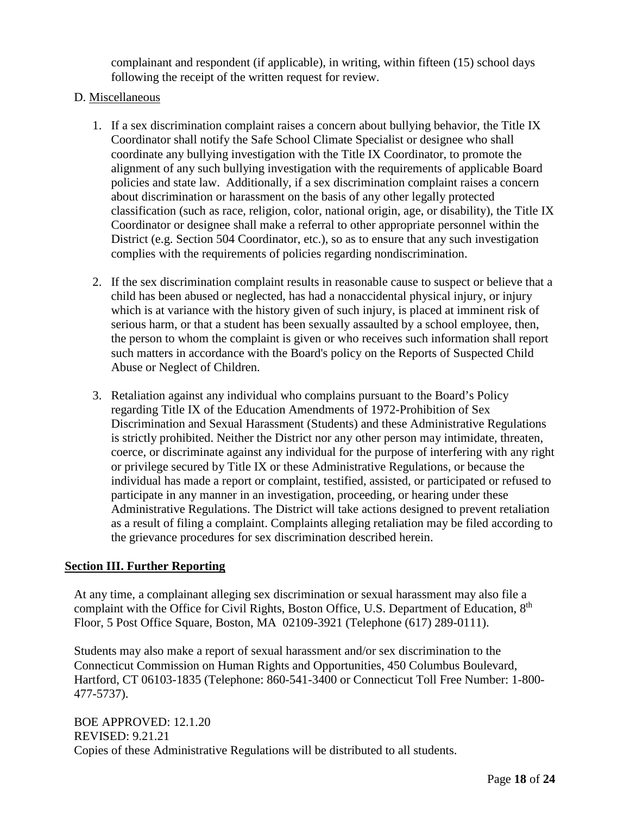complainant and respondent (if applicable), in writing, within fifteen (15) school days following the receipt of the written request for review.

# D. Miscellaneous

- 1. If a sex discrimination complaint raises a concern about bullying behavior, the Title IX Coordinator shall notify the Safe School Climate Specialist or designee who shall coordinate any bullying investigation with the Title IX Coordinator, to promote the alignment of any such bullying investigation with the requirements of applicable Board policies and state law. Additionally, if a sex discrimination complaint raises a concern about discrimination or harassment on the basis of any other legally protected classification (such as race, religion, color, national origin, age, or disability), the Title IX Coordinator or designee shall make a referral to other appropriate personnel within the District (e.g. Section 504 Coordinator, etc.), so as to ensure that any such investigation complies with the requirements of policies regarding nondiscrimination.
- 2. If the sex discrimination complaint results in reasonable cause to suspect or believe that a child has been abused or neglected, has had a nonaccidental physical injury, or injury which is at variance with the history given of such injury, is placed at imminent risk of serious harm, or that a student has been sexually assaulted by a school employee, then, the person to whom the complaint is given or who receives such information shall report such matters in accordance with the Board's policy on the Reports of Suspected Child Abuse or Neglect of Children.
- 3. Retaliation against any individual who complains pursuant to the Board's Policy regarding Title IX of the Education Amendments of 1972-Prohibition of Sex Discrimination and Sexual Harassment (Students) and these Administrative Regulations is strictly prohibited. Neither the District nor any other person may intimidate, threaten, coerce, or discriminate against any individual for the purpose of interfering with any right or privilege secured by Title IX or these Administrative Regulations, or because the individual has made a report or complaint, testified, assisted, or participated or refused to participate in any manner in an investigation, proceeding, or hearing under these Administrative Regulations. The District will take actions designed to prevent retaliation as a result of filing a complaint. Complaints alleging retaliation may be filed according to the grievance procedures for sex discrimination described herein.

# **Section III. Further Reporting**

At any time, a complainant alleging sex discrimination or sexual harassment may also file a complaint with the Office for Civil Rights, Boston Office, U.S. Department of Education, 8<sup>th</sup> Floor, 5 Post Office Square, Boston, MA 02109-3921 (Telephone (617) 289-0111).

Students may also make a report of sexual harassment and/or sex discrimination to the Connecticut Commission on Human Rights and Opportunities, 450 Columbus Boulevard, Hartford, CT 06103-1835 (Telephone: 860-541-3400 or Connecticut Toll Free Number: 1-800- 477-5737).

BOE APPROVED: 12.1.20 REVISED: 9.21.21 Copies of these Administrative Regulations will be distributed to all students.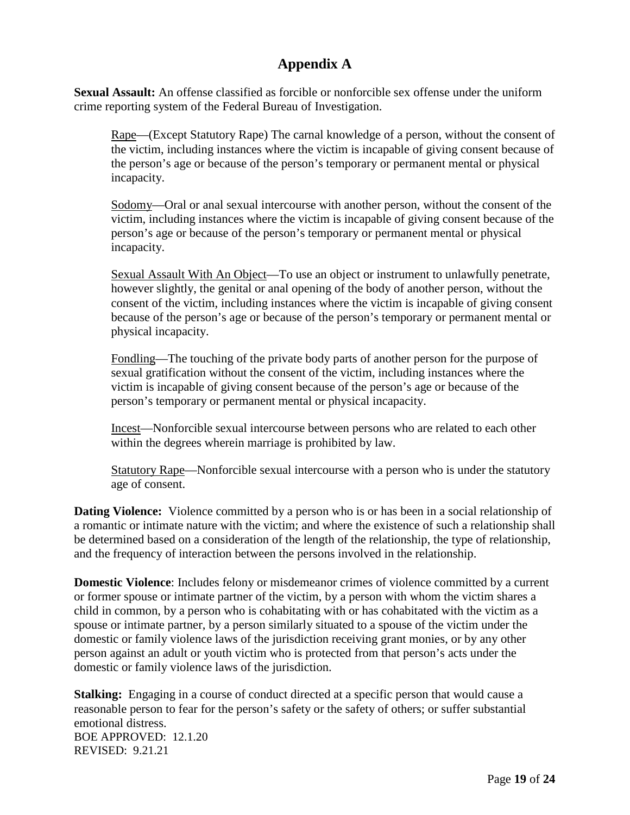# **Appendix A**

**Sexual Assault:** An offense classified as forcible or nonforcible sex offense under the uniform crime reporting system of the Federal Bureau of Investigation.

Rape—(Except Statutory Rape) The carnal knowledge of a person, without the consent of the victim, including instances where the victim is incapable of giving consent because of the person's age or because of the person's temporary or permanent mental or physical incapacity.

Sodomy—Oral or anal sexual intercourse with another person, without the consent of the victim, including instances where the victim is incapable of giving consent because of the person's age or because of the person's temporary or permanent mental or physical incapacity.

Sexual Assault With An Object—To use an object or instrument to unlawfully penetrate, however slightly, the genital or anal opening of the body of another person, without the consent of the victim, including instances where the victim is incapable of giving consent because of the person's age or because of the person's temporary or permanent mental or physical incapacity.

Fondling—The touching of the private body parts of another person for the purpose of sexual gratification without the consent of the victim, including instances where the victim is incapable of giving consent because of the person's age or because of the person's temporary or permanent mental or physical incapacity.

Incest—Nonforcible sexual intercourse between persons who are related to each other within the degrees wherein marriage is prohibited by law.

Statutory Rape—Nonforcible sexual intercourse with a person who is under the statutory age of consent.

**Dating Violence:** Violence committed by a person who is or has been in a social relationship of a romantic or intimate nature with the victim; and where the existence of such a relationship shall be determined based on a consideration of the length of the relationship, the type of relationship, and the frequency of interaction between the persons involved in the relationship.

**Domestic Violence**: Includes felony or misdemeanor crimes of violence committed by a current or former spouse or intimate partner of the victim, by a person with whom the victim shares a child in common, by a person who is cohabitating with or has cohabitated with the victim as a spouse or intimate partner, by a person similarly situated to a spouse of the victim under the domestic or family violence laws of the jurisdiction receiving grant monies, or by any other person against an adult or youth victim who is protected from that person's acts under the domestic or family violence laws of the jurisdiction.

**Stalking:** Engaging in a course of conduct directed at a specific person that would cause a reasonable person to fear for the person's safety or the safety of others; or suffer substantial emotional distress. BOE APPROVED: 12.1.20  $REVISED: 9.21.21$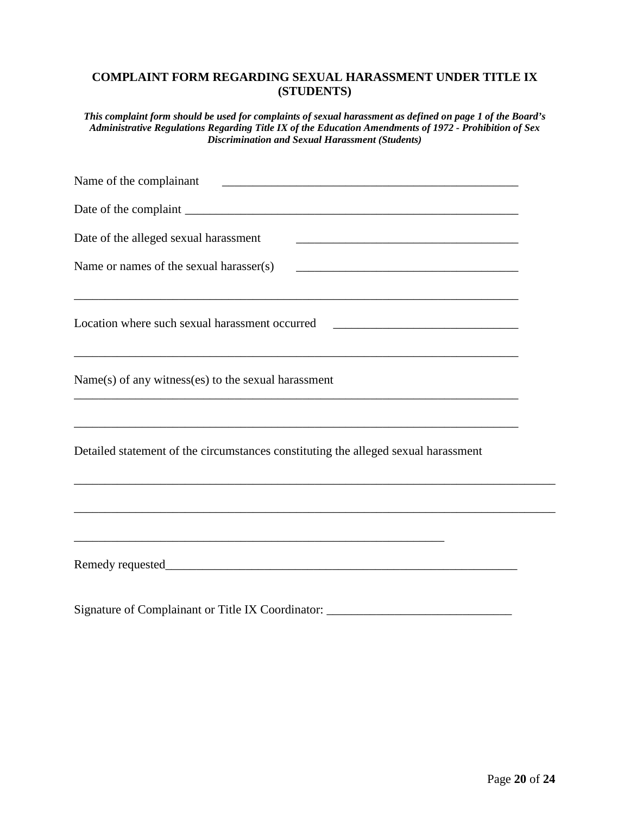### **COMPLAINT FORM REGARDING SEXUAL HARASSMENT UNDER TITLE IX (STUDENTS)**

*This complaint form should be used for complaints of sexual harassment as defined on page 1 of the Board's Administrative Regulations Regarding Title IX of the Education Amendments of 1972 - Prohibition of Sex Discrimination and Sexual Harassment (Students)*

| Date of the alleged sexual harassment<br><u> 1989 - Johann Stein, marking ar yn y brening yn y brening yn y brening yn y brening yn y brening yn y brenin</u>           |  |
|-------------------------------------------------------------------------------------------------------------------------------------------------------------------------|--|
| Name or names of the sexual harasser(s)                                                                                                                                 |  |
| Location where such sexual harassment occurred _________________________________                                                                                        |  |
| Name(s) of any witness(es) to the sexual harassment                                                                                                                     |  |
| ,我们也不能在这里的时候,我们也不能在这里的时候,我们也不能会在这里的时候,我们也不能会在这里的时候,我们也不能会在这里的时候,我们也不能会在这里的时候,我们也不<br>Detailed statement of the circumstances constituting the alleged sexual harassment |  |
|                                                                                                                                                                         |  |
| <u> 1989 - Jan James James, martin amerikan basar dan berasal dalam basa dalam basa dalam basa dalam basa dalam </u>                                                    |  |
|                                                                                                                                                                         |  |

Signature of Complainant or Title IX Coordinator: \_\_\_\_\_\_\_\_\_\_\_\_\_\_\_\_\_\_\_\_\_\_\_\_\_\_\_\_\_\_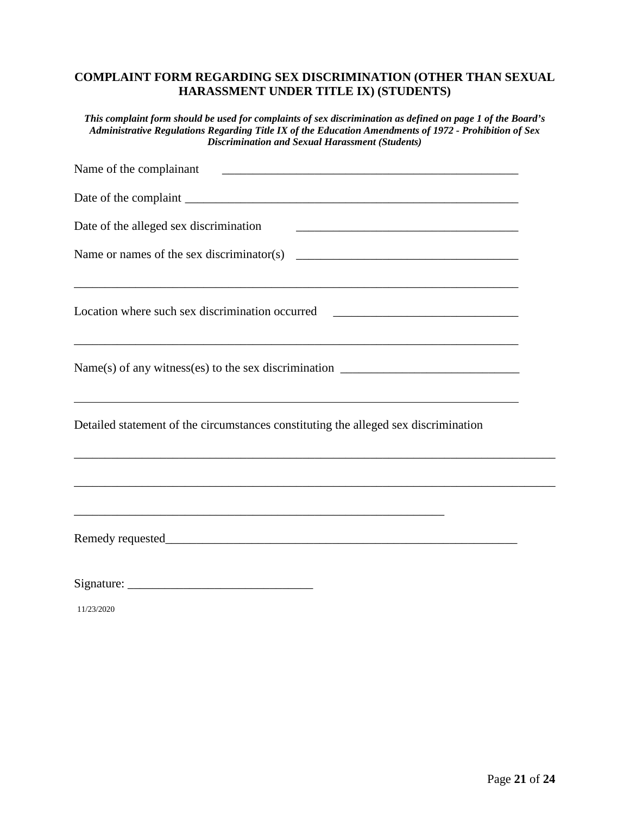# **COMPLAINT FORM REGARDING SEX DISCRIMINATION (OTHER THAN SEXUAL HARASSMENT UNDER TITLE IX) (STUDENTS)**

*This complaint form should be used for complaints of sex discrimination as defined on page 1 of the Board's Administrative Regulations Regarding Title IX of the Education Amendments of 1972 - Prohibition of Sex Discrimination and Sexual Harassment (Students)*

| Name of the complainant quality and the complaint of the complaint of the complaint of the complaint of the complaint of the complaint of the complaint of the complaint of the complaint of the complaint of the complaint of |  |
|--------------------------------------------------------------------------------------------------------------------------------------------------------------------------------------------------------------------------------|--|
|                                                                                                                                                                                                                                |  |
| Date of the alleged sex discrimination                                                                                                                                                                                         |  |
|                                                                                                                                                                                                                                |  |
| Location where such sex discrimination occurred ________________________________                                                                                                                                               |  |
| Name(s) of any witness(es) to the sex discrimination $\_\_\_\_\_\_\_\_\_\_\_\_\_\_\_\_\_\_\_\_\_\_\_\_\_\_\_\_\_\_\_\_$<br>,我们也不会有什么。""我们的人,我们也不会有什么?""我们的人,我们也不会有什么?""我们的人,我们也不会有什么?""我们的人,我们也不会有什么?""我们的人                    |  |
| Detailed statement of the circumstances constituting the alleged sex discrimination                                                                                                                                            |  |
|                                                                                                                                                                                                                                |  |
|                                                                                                                                                                                                                                |  |
|                                                                                                                                                                                                                                |  |

11/23/2020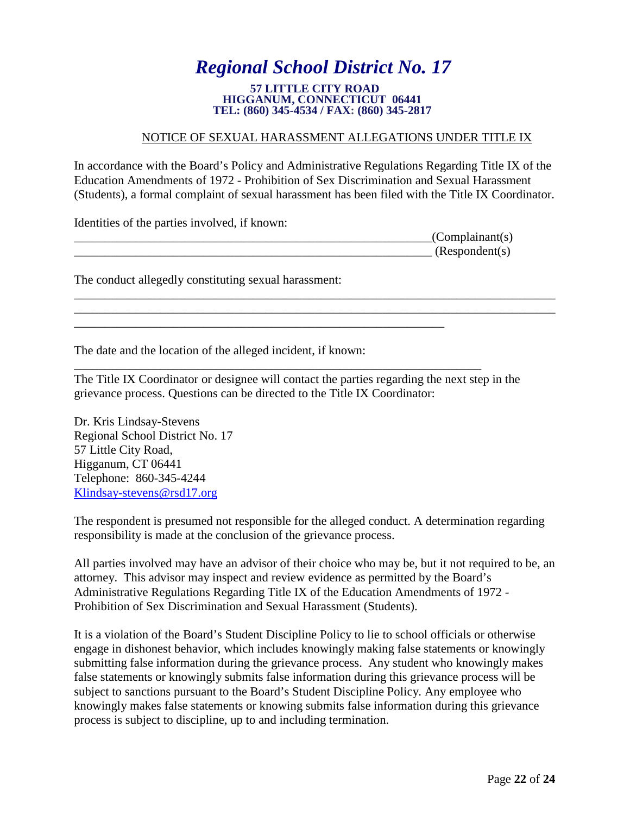# *Regional School District No. 17*

#### **57 LITTLE CITY ROAD HIGGANUM, CONNECTICUT 06441 TEL: (860) 345-4534 / FAX: (860) 345-2817**

# NOTICE OF SEXUAL HARASSMENT ALLEGATIONS UNDER TITLE IX

In accordance with the Board's Policy and Administrative Regulations Regarding Title IX of the Education Amendments of 1972 - Prohibition of Sex Discrimination and Sexual Harassment (Students), a formal complaint of sexual harassment has been filed with the Title IX Coordinator.

\_\_\_\_\_\_\_\_\_\_\_\_\_\_\_\_\_\_\_\_\_\_\_\_\_\_\_\_\_\_\_\_\_\_\_\_\_\_\_\_\_\_\_\_\_\_\_\_\_\_\_\_\_\_\_\_\_\_\_\_\_\_\_\_\_\_\_\_\_\_\_\_\_\_\_\_\_\_ \_\_\_\_\_\_\_\_\_\_\_\_\_\_\_\_\_\_\_\_\_\_\_\_\_\_\_\_\_\_\_\_\_\_\_\_\_\_\_\_\_\_\_\_\_\_\_\_\_\_\_\_\_\_\_\_\_\_\_\_\_\_\_\_\_\_\_\_\_\_\_\_\_\_\_\_\_\_

Identities of the parties involved, if known:

| $\Gamma(S)$     |
|-----------------|
| (Respondent(s)) |

The conduct allegedly constituting sexual harassment:

The date and the location of the alleged incident, if known:

\_\_\_\_\_\_\_\_\_\_\_\_\_\_\_\_\_\_\_\_\_\_\_\_\_\_\_\_\_\_\_\_\_\_\_\_\_\_\_\_\_\_\_\_\_\_\_\_\_\_\_\_\_\_\_\_\_\_\_\_

\_\_\_\_\_\_\_\_\_\_\_\_\_\_\_\_\_\_\_\_\_\_\_\_\_\_\_\_\_\_\_\_\_\_\_\_\_\_\_\_\_\_\_\_\_\_\_\_\_\_\_\_\_\_\_\_\_\_\_\_\_\_\_\_\_\_ The Title IX Coordinator or designee will contact the parties regarding the next step in the grievance process. Questions can be directed to the Title IX Coordinator:

Dr. Kris Lindsay-Stevens Regional School District No. 17 57 Little City Road, Higganum, CT 06441 Telephone: 860-345-4244 [Klindsay-stevens@rsd17.org](mailto:Klindsay-stevens@rsd17.org) 

The respondent is presumed not responsible for the alleged conduct. A determination regarding responsibility is made at the conclusion of the grievance process.

All parties involved may have an advisor of their choice who may be, but it not required to be, an attorney. This advisor may inspect and review evidence as permitted by the Board's Administrative Regulations Regarding Title IX of the Education Amendments of 1972 - Prohibition of Sex Discrimination and Sexual Harassment (Students).

It is a violation of the Board's Student Discipline Policy to lie to school officials or otherwise engage in dishonest behavior, which includes knowingly making false statements or knowingly submitting false information during the grievance process. Any student who knowingly makes false statements or knowingly submits false information during this grievance process will be subject to sanctions pursuant to the Board's Student Discipline Policy. Any employee who knowingly makes false statements or knowing submits false information during this grievance process is subject to discipline, up to and including termination.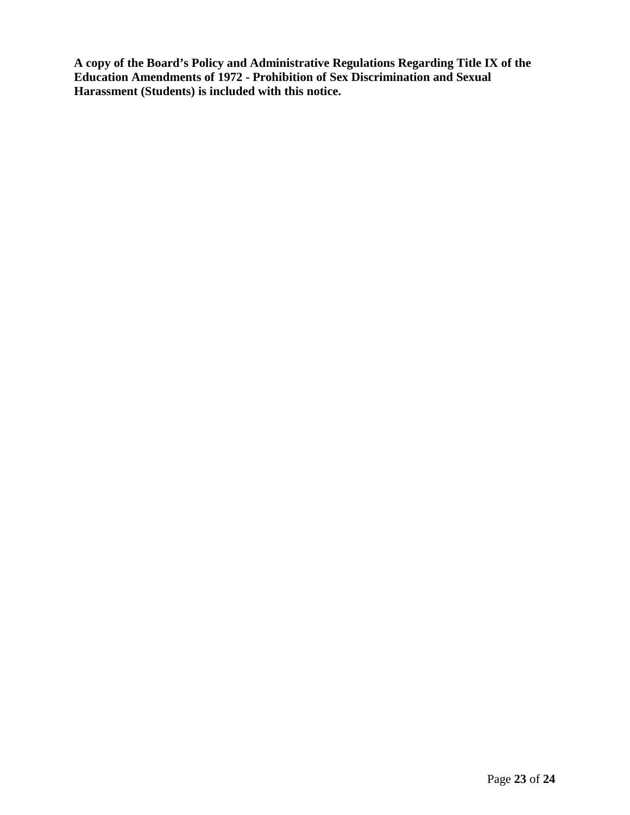**A copy of the Board's Policy and Administrative Regulations Regarding Title IX of the Education Amendments of 1972 - Prohibition of Sex Discrimination and Sexual Harassment (Students) is included with this notice.**